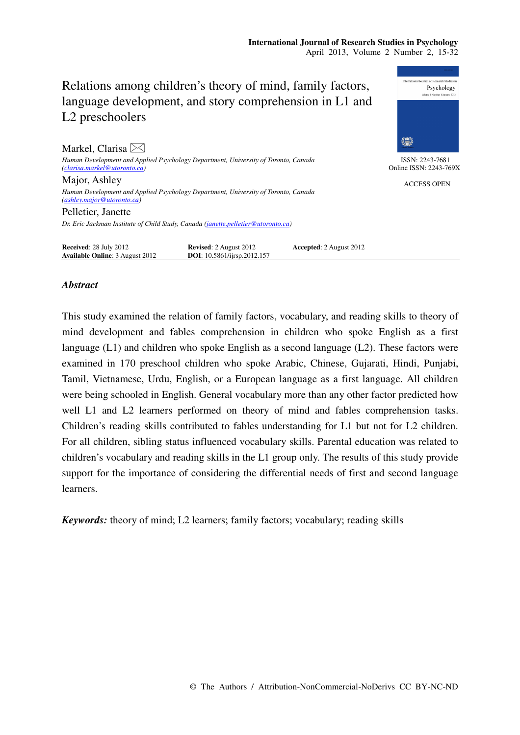# Relations among children's theory of mind, family factors, language development, and story comprehension in L1 and L2 preschoolers



ISSN: 2243-7681 Online ISSN: 2243-769X

ACCESS OPEN

*(clarisa.markel@utoronto.ca)*  Major, Ashley

*Human Development and Applied Psychology Department, University of Toronto, Canada (ashley.major@utoronto.ca)* 

*Human Development and Applied Psychology Department, University of Toronto, Canada* 

Pelletier, Janette *Dr. Eric Jackman Institute of Child Study, Canada (janette.pelletier@utoronto.ca)* 

**Received**: 28 July 2012 **Revised**: 2 August 2012 **Accepted**: 2 August 2012 **Available Online**: 3 August 2012 **DOI**: 10.5861/ijrsp.2012.157 **Available Online: 3 August 2012** 

## *Abstract*

Markel, Clarisa  $\bowtie$ 

This study examined the relation of family factors, vocabulary, and reading skills to theory of mind development and fables comprehension in children who spoke English as a first language (L1) and children who spoke English as a second language (L2). These factors were examined in 170 preschool children who spoke Arabic, Chinese, Gujarati, Hindi, Punjabi, Tamil, Vietnamese, Urdu, English, or a European language as a first language. All children were being schooled in English. General vocabulary more than any other factor predicted how well L1 and L2 learners performed on theory of mind and fables comprehension tasks. Children's reading skills contributed to fables understanding for L1 but not for L2 children. For all children, sibling status influenced vocabulary skills. Parental education was related to children's vocabulary and reading skills in the L1 group only. The results of this study provide support for the importance of considering the differential needs of first and second language learners.

*Keywords:* theory of mind; L2 learners; family factors; vocabulary; reading skills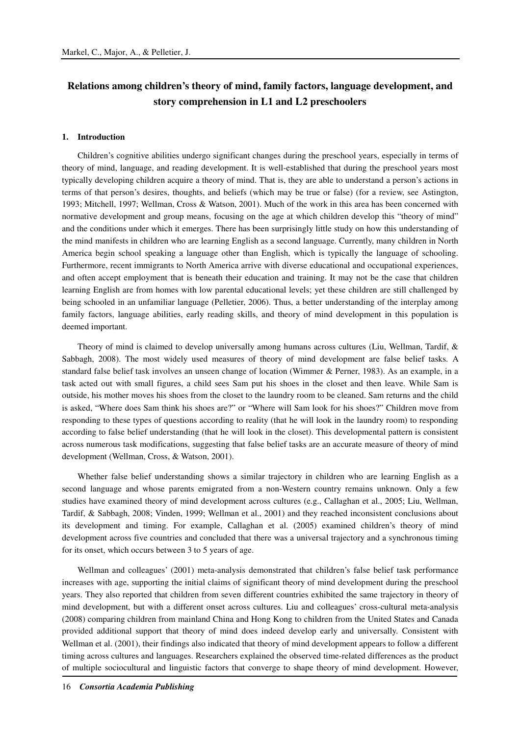# **Relations among children's theory of mind, family factors, language development, and story comprehension in L1 and L2 preschoolers**

#### **1. Introduction**

Children's cognitive abilities undergo significant changes during the preschool years, especially in terms of theory of mind, language, and reading development. It is well-established that during the preschool years most typically developing children acquire a theory of mind. That is, they are able to understand a person's actions in terms of that person's desires, thoughts, and beliefs (which may be true or false) (for a review, see Astington, 1993; Mitchell, 1997; Wellman, Cross & Watson, 2001). Much of the work in this area has been concerned with normative development and group means, focusing on the age at which children develop this "theory of mind" and the conditions under which it emerges. There has been surprisingly little study on how this understanding of the mind manifests in children who are learning English as a second language. Currently, many children in North America begin school speaking a language other than English, which is typically the language of schooling. Furthermore, recent immigrants to North America arrive with diverse educational and occupational experiences, and often accept employment that is beneath their education and training. It may not be the case that children learning English are from homes with low parental educational levels; yet these children are still challenged by being schooled in an unfamiliar language (Pelletier, 2006). Thus, a better understanding of the interplay among family factors, language abilities, early reading skills, and theory of mind development in this population is deemed important.

Theory of mind is claimed to develop universally among humans across cultures (Liu, Wellman, Tardif, & Sabbagh, 2008). The most widely used measures of theory of mind development are false belief tasks. A standard false belief task involves an unseen change of location (Wimmer & Perner, 1983). As an example, in a task acted out with small figures, a child sees Sam put his shoes in the closet and then leave. While Sam is outside, his mother moves his shoes from the closet to the laundry room to be cleaned. Sam returns and the child is asked, "Where does Sam think his shoes are?" or "Where will Sam look for his shoes?" Children move from responding to these types of questions according to reality (that he will look in the laundry room) to responding according to false belief understanding (that he will look in the closet). This developmental pattern is consistent across numerous task modifications, suggesting that false belief tasks are an accurate measure of theory of mind development (Wellman, Cross, & Watson, 2001).

Whether false belief understanding shows a similar trajectory in children who are learning English as a second language and whose parents emigrated from a non-Western country remains unknown. Only a few studies have examined theory of mind development across cultures (e.g., Callaghan et al., 2005; Liu, Wellman, Tardif, & Sabbagh, 2008; Vinden, 1999; Wellman et al., 2001) and they reached inconsistent conclusions about its development and timing. For example, Callaghan et al. (2005) examined children's theory of mind development across five countries and concluded that there was a universal trajectory and a synchronous timing for its onset, which occurs between 3 to 5 years of age.

Wellman and colleagues' (2001) meta-analysis demonstrated that children's false belief task performance increases with age, supporting the initial claims of significant theory of mind development during the preschool years. They also reported that children from seven different countries exhibited the same trajectory in theory of mind development, but with a different onset across cultures. Liu and colleagues' cross-cultural meta-analysis (2008) comparing children from mainland China and Hong Kong to children from the United States and Canada provided additional support that theory of mind does indeed develop early and universally. Consistent with Wellman et al. (2001), their findings also indicated that theory of mind development appears to follow a different timing across cultures and languages. Researchers explained the observed time-related differences as the product of multiple sociocultural and linguistic factors that converge to shape theory of mind development. However,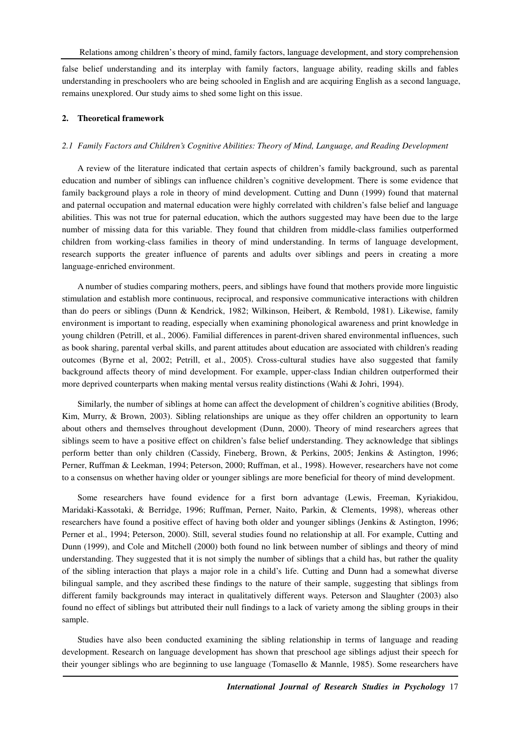false belief understanding and its interplay with family factors, language ability, reading skills and fables understanding in preschoolers who are being schooled in English and are acquiring English as a second language, remains unexplored. Our study aims to shed some light on this issue.

#### **2. Theoretical framework**

#### *2.1 Family Factors and Children's Cognitive Abilities: Theory of Mind, Language, and Reading Development*

A review of the literature indicated that certain aspects of children's family background, such as parental education and number of siblings can influence children's cognitive development. There is some evidence that family background plays a role in theory of mind development. Cutting and Dunn (1999) found that maternal and paternal occupation and maternal education were highly correlated with children's false belief and language abilities. This was not true for paternal education, which the authors suggested may have been due to the large number of missing data for this variable. They found that children from middle-class families outperformed children from working-class families in theory of mind understanding. In terms of language development, research supports the greater influence of parents and adults over siblings and peers in creating a more language-enriched environment.

A number of studies comparing mothers, peers, and siblings have found that mothers provide more linguistic stimulation and establish more continuous, reciprocal, and responsive communicative interactions with children than do peers or siblings (Dunn & Kendrick, 1982; Wilkinson, Heibert, & Rembold, 1981). Likewise, family environment is important to reading, especially when examining phonological awareness and print knowledge in young children (Petrill, et al., 2006). Familial differences in parent-driven shared environmental influences, such as book sharing, parental verbal skills, and parent attitudes about education are associated with children's reading outcomes (Byrne et al, 2002; Petrill, et al., 2005). Cross-cultural studies have also suggested that family background affects theory of mind development. For example, upper-class Indian children outperformed their more deprived counterparts when making mental versus reality distinctions (Wahi & Johri, 1994).

Similarly, the number of siblings at home can affect the development of children's cognitive abilities (Brody, Kim, Murry, & Brown, 2003). Sibling relationships are unique as they offer children an opportunity to learn about others and themselves throughout development (Dunn, 2000). Theory of mind researchers agrees that siblings seem to have a positive effect on children's false belief understanding. They acknowledge that siblings perform better than only children (Cassidy, Fineberg, Brown, & Perkins, 2005; Jenkins & Astington, 1996; Perner, Ruffman & Leekman, 1994; Peterson, 2000; Ruffman, et al., 1998). However, researchers have not come to a consensus on whether having older or younger siblings are more beneficial for theory of mind development.

Some researchers have found evidence for a first born advantage (Lewis, Freeman, Kyriakidou, Maridaki-Kassotaki, & Berridge, 1996; Ruffman, Perner, Naito, Parkin, & Clements, 1998), whereas other researchers have found a positive effect of having both older and younger siblings (Jenkins & Astington, 1996; Perner et al., 1994; Peterson, 2000). Still, several studies found no relationship at all. For example, Cutting and Dunn (1999), and Cole and Mitchell (2000) both found no link between number of siblings and theory of mind understanding. They suggested that it is not simply the number of siblings that a child has, but rather the quality of the sibling interaction that plays a major role in a child's life. Cutting and Dunn had a somewhat diverse bilingual sample, and they ascribed these findings to the nature of their sample, suggesting that siblings from different family backgrounds may interact in qualitatively different ways. Peterson and Slaughter (2003) also found no effect of siblings but attributed their null findings to a lack of variety among the sibling groups in their sample.

Studies have also been conducted examining the sibling relationship in terms of language and reading development. Research on language development has shown that preschool age siblings adjust their speech for their younger siblings who are beginning to use language (Tomasello & Mannle, 1985). Some researchers have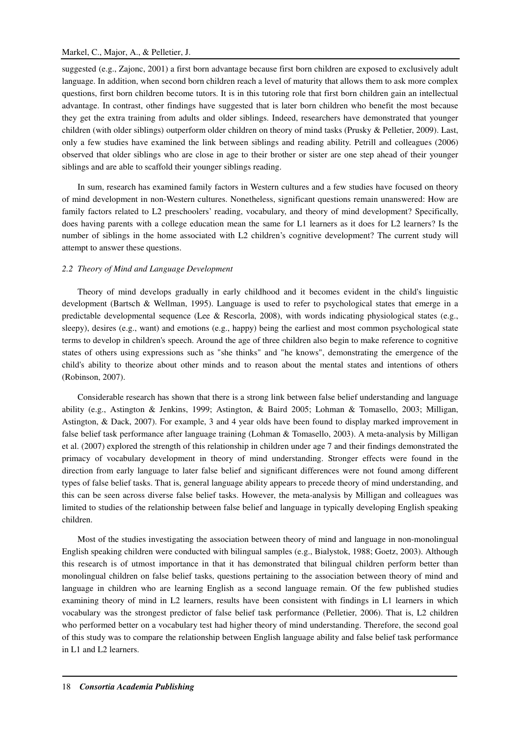#### Markel, C., Major, A., & Pelletier, J.

suggested (e.g., Zajonc, 2001) a first born advantage because first born children are exposed to exclusively adult language. In addition, when second born children reach a level of maturity that allows them to ask more complex questions, first born children become tutors. It is in this tutoring role that first born children gain an intellectual advantage. In contrast, other findings have suggested that is later born children who benefit the most because they get the extra training from adults and older siblings. Indeed, researchers have demonstrated that younger children (with older siblings) outperform older children on theory of mind tasks (Prusky & Pelletier, 2009). Last, only a few studies have examined the link between siblings and reading ability. Petrill and colleagues (2006) observed that older siblings who are close in age to their brother or sister are one step ahead of their younger siblings and are able to scaffold their younger siblings reading.

In sum, research has examined family factors in Western cultures and a few studies have focused on theory of mind development in non-Western cultures. Nonetheless, significant questions remain unanswered: How are family factors related to L2 preschoolers' reading, vocabulary, and theory of mind development? Specifically, does having parents with a college education mean the same for L1 learners as it does for L2 learners? Is the number of siblings in the home associated with L2 children's cognitive development? The current study will attempt to answer these questions.

#### *2.2 Theory of Mind and Language Development*

Theory of mind develops gradually in early childhood and it becomes evident in the child's linguistic development (Bartsch & Wellman, 1995). Language is used to refer to psychological states that emerge in a predictable developmental sequence (Lee & Rescorla, 2008), with words indicating physiological states (e.g., sleepy), desires (e.g., want) and emotions (e.g., happy) being the earliest and most common psychological state terms to develop in children's speech. Around the age of three children also begin to make reference to cognitive states of others using expressions such as "she thinks" and "he knows", demonstrating the emergence of the child's ability to theorize about other minds and to reason about the mental states and intentions of others (Robinson, 2007).

Considerable research has shown that there is a strong link between false belief understanding and language ability (e.g., Astington & Jenkins, 1999; Astington, & Baird 2005; Lohman & Tomasello, 2003; Milligan, Astington, & Dack, 2007). For example, 3 and 4 year olds have been found to display marked improvement in false belief task performance after language training (Lohman & Tomasello, 2003). A meta-analysis by Milligan et al. (2007) explored the strength of this relationship in children under age 7 and their findings demonstrated the primacy of vocabulary development in theory of mind understanding. Stronger effects were found in the direction from early language to later false belief and significant differences were not found among different types of false belief tasks. That is, general language ability appears to precede theory of mind understanding, and this can be seen across diverse false belief tasks. However, the meta-analysis by Milligan and colleagues was limited to studies of the relationship between false belief and language in typically developing English speaking children.

Most of the studies investigating the association between theory of mind and language in non-monolingual English speaking children were conducted with bilingual samples (e.g., Bialystok, 1988; Goetz, 2003). Although this research is of utmost importance in that it has demonstrated that bilingual children perform better than monolingual children on false belief tasks, questions pertaining to the association between theory of mind and language in children who are learning English as a second language remain. Of the few published studies examining theory of mind in L2 learners, results have been consistent with findings in L1 learners in which vocabulary was the strongest predictor of false belief task performance (Pelletier, 2006). That is, L2 children who performed better on a vocabulary test had higher theory of mind understanding. Therefore, the second goal of this study was to compare the relationship between English language ability and false belief task performance in L1 and L2 learners.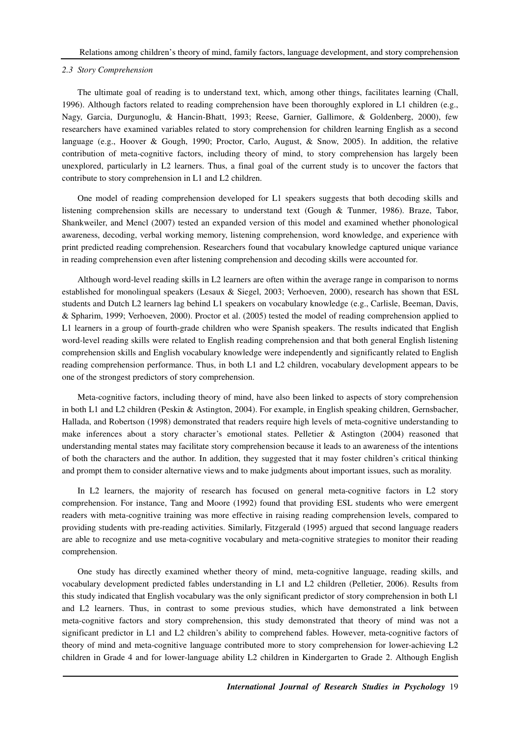#### *2.3 Story Comprehension*

The ultimate goal of reading is to understand text, which, among other things, facilitates learning (Chall, 1996). Although factors related to reading comprehension have been thoroughly explored in L1 children (e.g., Nagy, Garcia, Durgunoglu, & Hancin-Bhatt, 1993; Reese, Garnier, Gallimore, & Goldenberg, 2000), few researchers have examined variables related to story comprehension for children learning English as a second language (e.g., Hoover & Gough, 1990; Proctor, Carlo, August, & Snow, 2005). In addition, the relative contribution of meta-cognitive factors, including theory of mind, to story comprehension has largely been unexplored, particularly in L2 learners. Thus, a final goal of the current study is to uncover the factors that contribute to story comprehension in L1 and L2 children.

One model of reading comprehension developed for L1 speakers suggests that both decoding skills and listening comprehension skills are necessary to understand text (Gough & Tunmer, 1986). Braze, Tabor, Shankweiler, and Mencl (2007) tested an expanded version of this model and examined whether phonological awareness, decoding, verbal working memory, listening comprehension, word knowledge, and experience with print predicted reading comprehension. Researchers found that vocabulary knowledge captured unique variance in reading comprehension even after listening comprehension and decoding skills were accounted for.

Although word-level reading skills in L2 learners are often within the average range in comparison to norms established for monolingual speakers (Lesaux & Siegel, 2003; Verhoeven, 2000), research has shown that ESL students and Dutch L2 learners lag behind L1 speakers on vocabulary knowledge (e.g., Carlisle, Beeman, Davis, & Spharim, 1999; Verhoeven, 2000). Proctor et al. (2005) tested the model of reading comprehension applied to L1 learners in a group of fourth-grade children who were Spanish speakers. The results indicated that English word-level reading skills were related to English reading comprehension and that both general English listening comprehension skills and English vocabulary knowledge were independently and significantly related to English reading comprehension performance. Thus, in both L1 and L2 children, vocabulary development appears to be one of the strongest predictors of story comprehension.

Meta-cognitive factors, including theory of mind, have also been linked to aspects of story comprehension in both L1 and L2 children (Peskin & Astington, 2004). For example, in English speaking children, Gernsbacher, Hallada, and Robertson (1998) demonstrated that readers require high levels of meta-cognitive understanding to make inferences about a story character's emotional states. Pelletier & Astington (2004) reasoned that understanding mental states may facilitate story comprehension because it leads to an awareness of the intentions of both the characters and the author. In addition, they suggested that it may foster children's critical thinking and prompt them to consider alternative views and to make judgments about important issues, such as morality.

In L2 learners, the majority of research has focused on general meta-cognitive factors in L2 story comprehension. For instance, Tang and Moore (1992) found that providing ESL students who were emergent readers with meta-cognitive training was more effective in raising reading comprehension levels, compared to providing students with pre-reading activities. Similarly, Fitzgerald (1995) argued that second language readers are able to recognize and use meta-cognitive vocabulary and meta-cognitive strategies to monitor their reading comprehension.

One study has directly examined whether theory of mind, meta-cognitive language, reading skills, and vocabulary development predicted fables understanding in L1 and L2 children (Pelletier, 2006). Results from this study indicated that English vocabulary was the only significant predictor of story comprehension in both L1 and L2 learners. Thus, in contrast to some previous studies, which have demonstrated a link between meta-cognitive factors and story comprehension, this study demonstrated that theory of mind was not a significant predictor in L1 and L2 children's ability to comprehend fables. However, meta-cognitive factors of theory of mind and meta-cognitive language contributed more to story comprehension for lower-achieving L2 children in Grade 4 and for lower-language ability L2 children in Kindergarten to Grade 2. Although English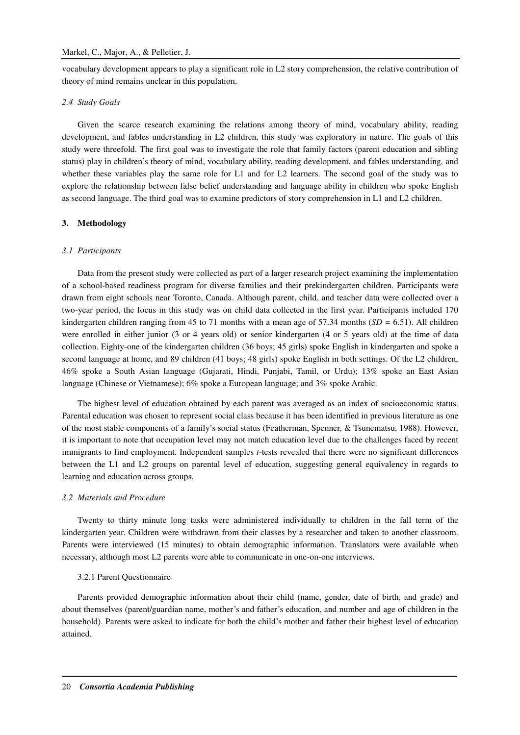vocabulary development appears to play a significant role in L2 story comprehension, the relative contribution of theory of mind remains unclear in this population.

#### *2.4 Study Goals*

Given the scarce research examining the relations among theory of mind, vocabulary ability, reading development, and fables understanding in L2 children, this study was exploratory in nature. The goals of this study were threefold. The first goal was to investigate the role that family factors (parent education and sibling status) play in children's theory of mind, vocabulary ability, reading development, and fables understanding, and whether these variables play the same role for L1 and for L2 learners. The second goal of the study was to explore the relationship between false belief understanding and language ability in children who spoke English as second language. The third goal was to examine predictors of story comprehension in L1 and L2 children.

#### **3. Methodology**

#### *3.1 Participants*

Data from the present study were collected as part of a larger research project examining the implementation of a school-based readiness program for diverse families and their prekindergarten children. Participants were drawn from eight schools near Toronto, Canada. Although parent, child, and teacher data were collected over a two-year period, the focus in this study was on child data collected in the first year. Participants included 170 kindergarten children ranging from 45 to 71 months with a mean age of 57.34 months (*SD =* 6.51). All children were enrolled in either junior (3 or 4 years old) or senior kindergarten (4 or 5 years old) at the time of data collection. Eighty-one of the kindergarten children (36 boys; 45 girls) spoke English in kindergarten and spoke a second language at home, and 89 children (41 boys; 48 girls) spoke English in both settings. Of the L2 children, 46% spoke a South Asian language (Gujarati, Hindi, Punjabi, Tamil, or Urdu); 13% spoke an East Asian language (Chinese or Vietnamese); 6% spoke a European language; and 3% spoke Arabic.

The highest level of education obtained by each parent was averaged as an index of socioeconomic status. Parental education was chosen to represent social class because it has been identified in previous literature as one of the most stable components of a family's social status (Featherman, Spenner, & Tsunematsu, 1988). However, it is important to note that occupation level may not match education level due to the challenges faced by recent immigrants to find employment. Independent samples *t*-tests revealed that there were no significant differences between the L1 and L2 groups on parental level of education, suggesting general equivalency in regards to learning and education across groups.

#### *3.2 Materials and Procedure*

Twenty to thirty minute long tasks were administered individually to children in the fall term of the kindergarten year. Children were withdrawn from their classes by a researcher and taken to another classroom. Parents were interviewed (15 minutes) to obtain demographic information. Translators were available when necessary, although most L2 parents were able to communicate in one-on-one interviews.

#### 3.2.1 Parent Questionnaire

Parents provided demographic information about their child (name, gender, date of birth, and grade) and about themselves (parent/guardian name, mother's and father's education, and number and age of children in the household). Parents were asked to indicate for both the child's mother and father their highest level of education attained.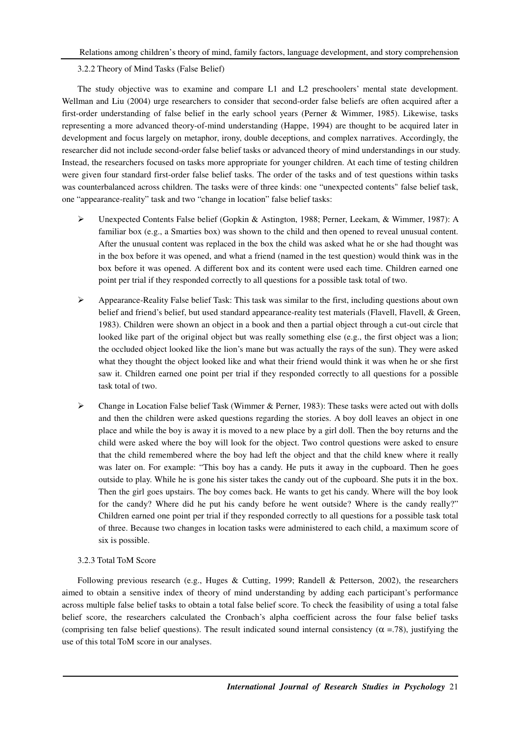3.2.2 Theory of Mind Tasks (False Belief)

The study objective was to examine and compare L1 and L2 preschoolers' mental state development. Wellman and Liu (2004) urge researchers to consider that second-order false beliefs are often acquired after a first-order understanding of false belief in the early school years (Perner & Wimmer, 1985). Likewise, tasks representing a more advanced theory-of-mind understanding (Happe, 1994) are thought to be acquired later in development and focus largely on metaphor, irony, double deceptions, and complex narratives. Accordingly, the researcher did not include second-order false belief tasks or advanced theory of mind understandings in our study. Instead, the researchers focused on tasks more appropriate for younger children. At each time of testing children were given four standard first-order false belief tasks. The order of the tasks and of test questions within tasks was counterbalanced across children. The tasks were of three kinds: one "unexpected contents" false belief task, one "appearance-reality" task and two "change in location" false belief tasks:

- Unexpected Contents False belief (Gopkin & Astington, 1988; Perner, Leekam, & Wimmer, 1987): A familiar box (e.g., a Smarties box) was shown to the child and then opened to reveal unusual content. After the unusual content was replaced in the box the child was asked what he or she had thought was in the box before it was opened, and what a friend (named in the test question) would think was in the box before it was opened. A different box and its content were used each time. Children earned one point per trial if they responded correctly to all questions for a possible task total of two.
- Appearance-Reality False belief Task: This task was similar to the first, including questions about own belief and friend's belief, but used standard appearance-reality test materials (Flavell, Flavell, & Green, 1983). Children were shown an object in a book and then a partial object through a cut-out circle that looked like part of the original object but was really something else (e.g., the first object was a lion; the occluded object looked like the lion's mane but was actually the rays of the sun). They were asked what they thought the object looked like and what their friend would think it was when he or she first saw it. Children earned one point per trial if they responded correctly to all questions for a possible task total of two.
- $\triangleright$  Change in Location False belief Task (Wimmer & Perner, 1983): These tasks were acted out with dolls and then the children were asked questions regarding the stories. A boy doll leaves an object in one place and while the boy is away it is moved to a new place by a girl doll. Then the boy returns and the child were asked where the boy will look for the object. Two control questions were asked to ensure that the child remembered where the boy had left the object and that the child knew where it really was later on. For example: "This boy has a candy. He puts it away in the cupboard. Then he goes outside to play. While he is gone his sister takes the candy out of the cupboard. She puts it in the box. Then the girl goes upstairs. The boy comes back. He wants to get his candy. Where will the boy look for the candy? Where did he put his candy before he went outside? Where is the candy really?" Children earned one point per trial if they responded correctly to all questions for a possible task total of three. Because two changes in location tasks were administered to each child, a maximum score of six is possible.

#### 3.2.3 Total ToM Score

Following previous research (e.g., Huges & Cutting, 1999; Randell & Petterson, 2002), the researchers aimed to obtain a sensitive index of theory of mind understanding by adding each participant's performance across multiple false belief tasks to obtain a total false belief score. To check the feasibility of using a total false belief score, the researchers calculated the Cronbach's alpha coefficient across the four false belief tasks (comprising ten false belief questions). The result indicated sound internal consistency ( $\alpha$  =.78), justifying the use of this total ToM score in our analyses.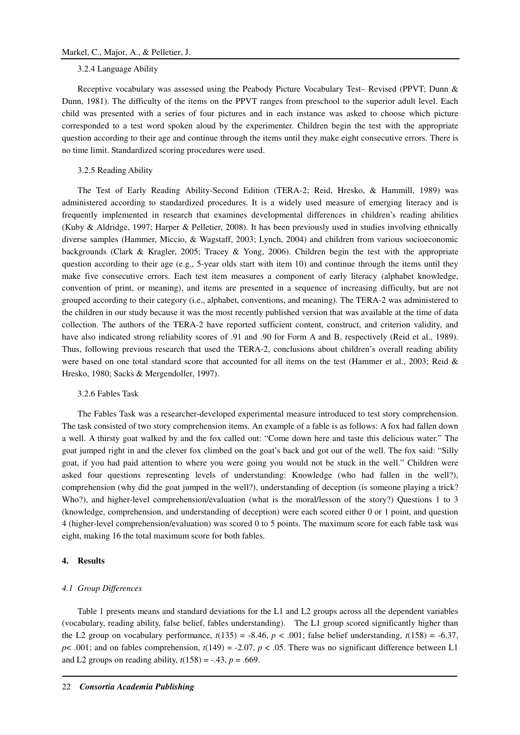#### 3.2.4 Language Ability

Receptive vocabulary was assessed using the Peabody Picture Vocabulary Test– Revised (PPVT; Dunn & Dunn, 1981). The difficulty of the items on the PPVT ranges from preschool to the superior adult level. Each child was presented with a series of four pictures and in each instance was asked to choose which picture corresponded to a test word spoken aloud by the experimenter. Children begin the test with the appropriate question according to their age and continue through the items until they make eight consecutive errors. There is no time limit. Standardized scoring procedures were used.

#### 3.2.5 Reading Ability

The Test of Early Reading Ability-Second Edition (TERA-2; Reid, Hresko, & Hammill, 1989) was administered according to standardized procedures. It is a widely used measure of emerging literacy and is frequently implemented in research that examines developmental differences in children's reading abilities (Kuby & Aldridge, 1997; Harper & Pelletier, 2008). It has been previously used in studies involving ethnically diverse samples (Hammer, Miccio, & Wagstaff, 2003; Lynch, 2004) and children from various socioeconomic backgrounds (Clark & Kragler, 2005; Tracey & Yong, 2006). Children begin the test with the appropriate question according to their age (e.g., 5-year olds start with item 10) and continue through the items until they make five consecutive errors. Each test item measures a component of early literacy (alphabet knowledge, convention of print, or meaning), and items are presented in a sequence of increasing difficulty, but are not grouped according to their category (i.e., alphabet, conventions, and meaning). The TERA-2 was administered to the children in our study because it was the most recently published version that was available at the time of data collection. The authors of the TERA-2 have reported sufficient content, construct, and criterion validity, and have also indicated strong reliability scores of .91 and .90 for Form A and B, respectively (Reid et al., 1989). Thus, following previous research that used the TERA-2, conclusions about children's overall reading ability were based on one total standard score that accounted for all items on the test (Hammer et al., 2003; Reid & Hresko, 1980; Sacks & Mergendoller, 1997).

#### 3.2.6 Fables Task

The Fables Task was a researcher-developed experimental measure introduced to test story comprehension. The task consisted of two story comprehension items. An example of a fable is as follows: A fox had fallen down a well. A thirsty goat walked by and the fox called out: "Come down here and taste this delicious water." The goat jumped right in and the clever fox climbed on the goat's back and got out of the well. The fox said: "Silly goat, if you had paid attention to where you were going you would not be stuck in the well." Children were asked four questions representing levels of understanding: Knowledge (who had fallen in the well?), comprehension (why did the goat jumped in the well?), understanding of deception (is someone playing a trick? Who?), and higher-level comprehension/evaluation (what is the moral/lesson of the story?) Questions 1 to 3 (knowledge, comprehension, and understanding of deception) were each scored either 0 or 1 point, and question 4 (higher-level comprehension/evaluation) was scored 0 to 5 points. The maximum score for each fable task was eight, making 16 the total maximum score for both fables.

#### **4. Results**

#### *4.1 Group Differences*

Table 1 presents means and standard deviations for the L1 and L2 groups across all the dependent variables (vocabulary, reading ability, false belief, fables understanding). The L1 group scored significantly higher than the L2 group on vocabulary performance,  $t(135) = -8.46$ ,  $p < .001$ ; false belief understanding,  $t(158) = -6.37$ ,  $p$ < .001; and on fables comprehension,  $t(149) = -2.07$ ,  $p < .05$ . There was no significant difference between L1 and L2 groups on reading ability,  $t(158) = -.43$ ,  $p = .669$ .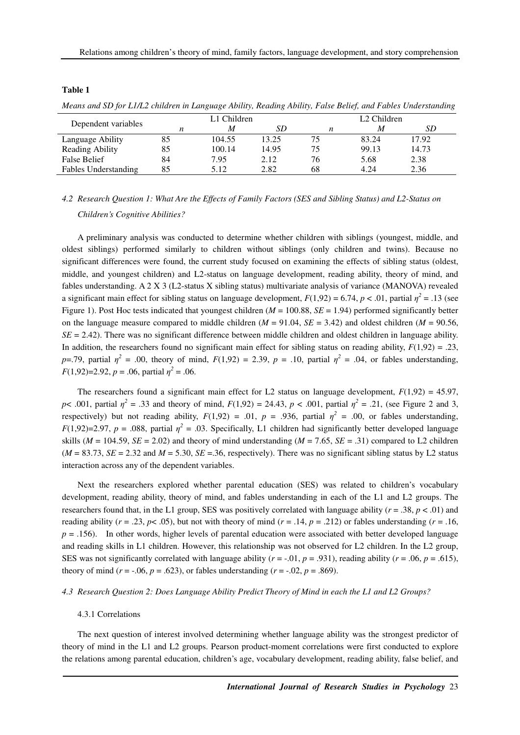#### **Table 1**

| Dependent variables  | L1 Children |        |       | L <sub>2</sub> Children |       |       |  |
|----------------------|-------------|--------|-------|-------------------------|-------|-------|--|
|                      |             | M      | SD.   | n                       | M     | SD    |  |
| Language Ability     | 85          | 104.55 | 13.25 | 75                      | 83.24 | 17.92 |  |
| Reading Ability      | 85          | 100.14 | 14.95 | 75                      | 99.13 | 14.73 |  |
| False Belief         | 84          | 7.95   | 2.12  | 76                      | 5.68  | 2.38  |  |
| Fables Understanding | 85          | 5.12   | 2.82  | 68                      | 4.24  | 2.36  |  |

*Means and SD for L1/L2 children in Language Ability, Reading Ability, False Belief, and Fables Understanding* 

# *4.2 Research Question 1: What Are the Effects of Family Factors (SES and Sibling Status) and L2-Status on Children's Cognitive Abilities?*

A preliminary analysis was conducted to determine whether children with siblings (youngest, middle, and oldest siblings) performed similarly to children without siblings (only children and twins). Because no significant differences were found, the current study focused on examining the effects of sibling status (oldest, middle, and youngest children) and L2-status on language development, reading ability, theory of mind, and fables understanding. A 2 X 3 (L2-status X sibling status) multivariate analysis of variance (MANOVA) revealed a significant main effect for sibling status on language development,  $F(1,92) = 6.74$ ,  $p < .01$ , partial  $\eta^2 = .13$  (see Figure 1). Post Hoc tests indicated that youngest children (*M* = 100.88, *SE* = 1.94) performed significantly better on the language measure compared to middle children  $(M = 91.04, SE = 3.42)$  and oldest children  $(M = 90.56,$ *SE* = 2.42). There was no significant difference between middle children and oldest children in language ability. In addition, the researchers found no significant main effect for sibling status on reading ability,  $F(1,92) = .23$ , *p*=.79, partial  $\eta^2$  = .00, theory of mind,  $F(1,92) = 2.39$ , *p* = .10, partial  $\eta^2$  = .04, or fables understanding, *F*(1,92)=2.92, *p* = .06, partial  $\eta^2$  = .06.

The researchers found a significant main effect for L2 status on language development,  $F(1,92) = 45.97$ , *p*< .001, partial  $\eta^2 = .33$  and theory of mind,  $F(1,92) = 24.43$ ,  $p < .001$ , partial  $\eta^2 = .21$ , (see Figure 2 and 3, respectively) but not reading ability,  $F(1,92) = .01$ ,  $p = .936$ , partial  $\eta^2 = .00$ , or fables understanding,  $F(1,92)=2.97$ ,  $p = .088$ , partial  $\eta^2 = .03$ . Specifically, L1 children had significantly better developed language skills ( $M = 104.59$ ,  $SE = 2.02$ ) and theory of mind understanding ( $M = 7.65$ ,  $SE = .31$ ) compared to L2 children  $(M = 83.73, SE = 2.32$  and  $M = 5.30, SE = 36$ , respectively). There was no significant sibling status by L2 status interaction across any of the dependent variables.

Next the researchers explored whether parental education (SES) was related to children's vocabulary development, reading ability, theory of mind, and fables understanding in each of the L1 and L2 groups. The researchers found that, in the L1 group, SES was positively correlated with language ability ( $r = .38$ ,  $p < .01$ ) and reading ability ( $r = .23$ ,  $p < .05$ ), but not with theory of mind ( $r = .14$ ,  $p = .212$ ) or fables understanding ( $r = .16$ , *p* = .156). In other words, higher levels of parental education were associated with better developed language and reading skills in L1 children. However, this relationship was not observed for L2 children. In the L2 group, SES was not significantly correlated with language ability ( $r = -0.01$ ,  $p = .931$ ), reading ability ( $r = .06$ ,  $p = .615$ ), theory of mind ( $r = -0.06$ ,  $p = 0.623$ ), or fables understanding ( $r = -0.02$ ,  $p = 0.869$ ).

#### *4.3 Research Question 2: Does Language Ability Predict Theory of Mind in each the L1 and L2 Groups?*

#### 4.3.1 Correlations

The next question of interest involved determining whether language ability was the strongest predictor of theory of mind in the L1 and L2 groups. Pearson product-moment correlations were first conducted to explore the relations among parental education, children's age, vocabulary development, reading ability, false belief, and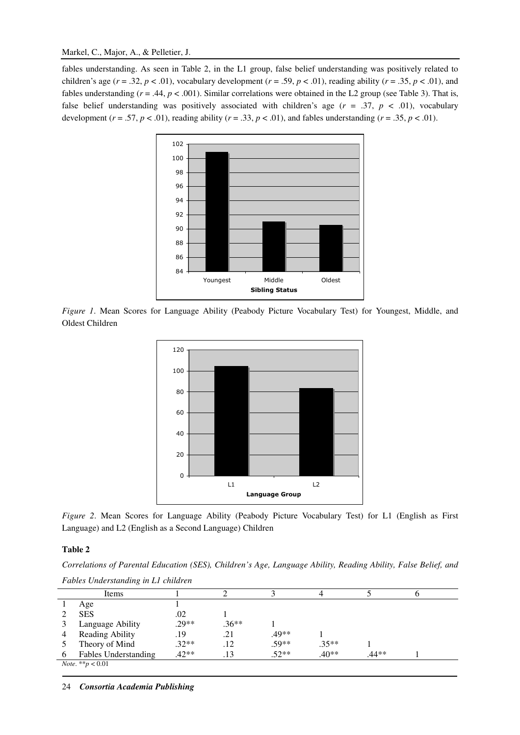fables understanding. As seen in Table 2, in the L1 group, false belief understanding was positively related to children's age ( $r = .32$ ,  $p < .01$ ), vocabulary development ( $r = .59$ ,  $p < .01$ ), reading ability ( $r = .35$ ,  $p < .01$ ), and fables understanding  $(r = .44, p < .001)$ . Similar correlations were obtained in the L2 group (see Table 3). That is, false belief understanding was positively associated with children's age (*r* = .37, *p* < .01), vocabulary development ( $r = .57$ ,  $p < .01$ ), reading ability ( $r = .33$ ,  $p < .01$ ), and fables understanding ( $r = .35$ ,  $p < .01$ ).



*Figure 1*. Mean Scores for Language Ability (Peabody Picture Vocabulary Test) for Youngest, Middle, and Oldest Children



*Figure 2*. Mean Scores for Language Ability (Peabody Picture Vocabulary Test) for L1 (English as First Language) and L2 (English as a Second Language) Children

### **Table 2**

*Correlations of Parental Education (SES), Children's Age, Language Ability, Reading Ability, False Belief, and Fables Understanding in L1 children* 

|                                  | Items                       |         |         |         |         |       |  |
|----------------------------------|-----------------------------|---------|---------|---------|---------|-------|--|
|                                  | Age                         |         |         |         |         |       |  |
|                                  | <b>SES</b>                  | .02     |         |         |         |       |  |
|                                  | Language Ability            | $.29**$ | $.36**$ |         |         |       |  |
|                                  | Reading Ability             | .19     | .21     | .49**   |         |       |  |
|                                  | Theory of Mind              | $.32**$ | .12     | $.59**$ | $.35**$ |       |  |
| 6                                | <b>Fables Understanding</b> | $.42**$ | .13     | $.52**$ | $.40**$ | .44** |  |
| <i>Note</i> . ** <i>p</i> < 0.01 |                             |         |         |         |         |       |  |
|                                  |                             |         |         |         |         |       |  |

24 *Consortia Academia Publishing*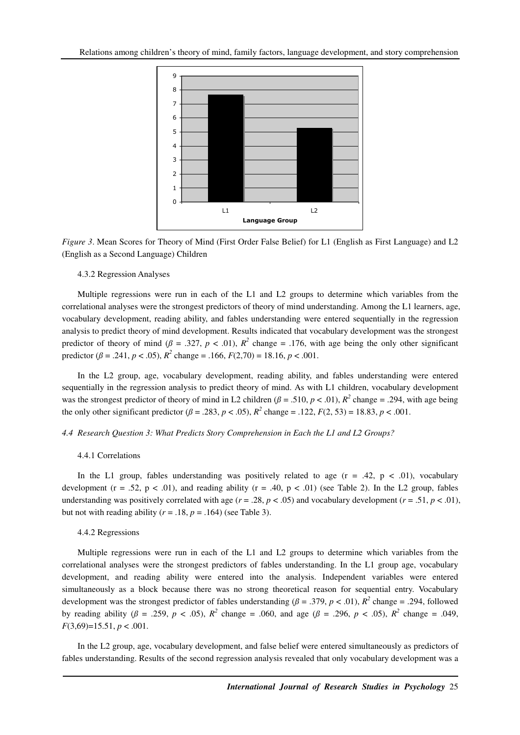

*Figure 3*. Mean Scores for Theory of Mind (First Order False Belief) for L1 (English as First Language) and L2 (English as a Second Language) Children

#### 4.3.2 Regression Analyses

Multiple regressions were run in each of the L1 and L2 groups to determine which variables from the correlational analyses were the strongest predictors of theory of mind understanding. Among the L1 learners, age, vocabulary development, reading ability, and fables understanding were entered sequentially in the regression analysis to predict theory of mind development. Results indicated that vocabulary development was the strongest predictor of theory of mind ( $\beta$  = .327,  $p$  < .01),  $R^2$  change = .176, with age being the only other significant predictor ( $\beta$  = .241,  $p < .05$ ),  $R^2$  change = .166,  $F(2,70) = 18.16, p < .001$ .

In the L2 group, age, vocabulary development, reading ability, and fables understanding were entered sequentially in the regression analysis to predict theory of mind. As with L1 children, vocabulary development was the strongest predictor of theory of mind in L2 children ( $\beta$  = .510,  $p$  < .01),  $R^2$  change = .294, with age being the only other significant predictor ( $\beta = .283$ ,  $p < .05$ ),  $R^2$  change = .122,  $F(2, 53) = 18.83$ ,  $p < .001$ .

#### *4.4 Research Question 3: What Predicts Story Comprehension in Each the L1 and L2 Groups?*

#### 4.4.1 Correlations

In the L1 group, fables understanding was positively related to age  $(r = .42, p < .01)$ , vocabulary development (r = .52, p < .01), and reading ability (r = .40, p < .01) (see Table 2). In the L2 group, fables understanding was positively correlated with age  $(r = .28, p < .05)$  and vocabulary development  $(r = .51, p < .01)$ , but not with reading ability  $(r = .18, p = .164)$  (see Table 3).

#### 4.4.2 Regressions

Multiple regressions were run in each of the L1 and L2 groups to determine which variables from the correlational analyses were the strongest predictors of fables understanding. In the L1 group age, vocabulary development, and reading ability were entered into the analysis. Independent variables were entered simultaneously as a block because there was no strong theoretical reason for sequential entry. Vocabulary development was the strongest predictor of fables understanding ( $\beta = .379$ ,  $p < .01$ ),  $R^2$  change = .294, followed by reading ability ( $\beta = .259$ ,  $p < .05$ ),  $R^2$  change = .060, and age ( $\beta = .296$ ,  $p < .05$ ),  $R^2$  change = .049, *F*(3,69)=15.51, *p* < .001.

In the L2 group, age, vocabulary development, and false belief were entered simultaneously as predictors of fables understanding. Results of the second regression analysis revealed that only vocabulary development was a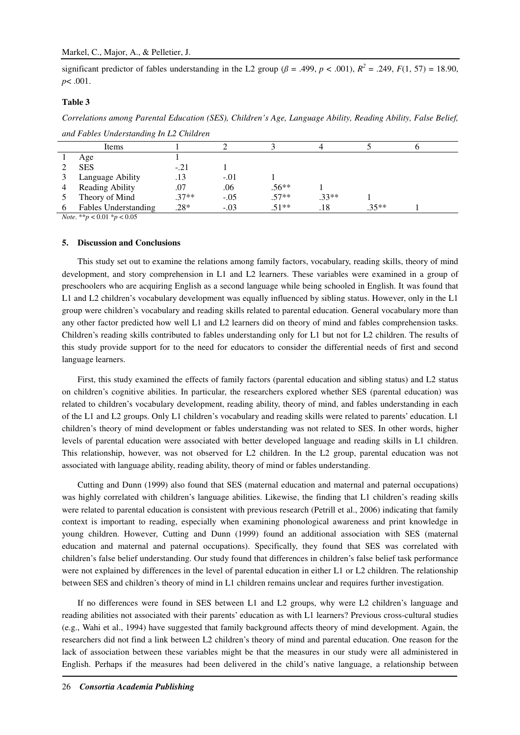significant predictor of fables understanding in the L2 group ( $\beta$  = .499,  $p$  < .001),  $R^2$  = .249,  $F(1, 57)$  = 18.90, *p*< .001.

#### **Table 3**

*Correlations among Parental Education (SES), Children's Age, Language Ability, Reading Ability, False Belief,* 

|          | Items                       |         |        |         |         |         |  |
|----------|-----------------------------|---------|--------|---------|---------|---------|--|
|          | Age                         |         |        |         |         |         |  |
|          | <b>SES</b>                  | $-.21$  |        |         |         |         |  |
|          | Language Ability            | .13     | $-.01$ |         |         |         |  |
| 4        | Reading Ability             | .07     | .06    | $.56**$ |         |         |  |
|          | Theory of Mind              | $.37**$ | $-.05$ | $.57**$ | $.33**$ |         |  |
| $\sigma$ | <b>Fables Understanding</b> | $.28*$  | $-.03$ | $.51**$ | .18     | $.35**$ |  |

*and Fables Understanding In L2 Children* 

*Note*. \*\**p* < 0.01 \**p* < 0.05

#### **5. Discussion and Conclusions**

This study set out to examine the relations among family factors, vocabulary, reading skills, theory of mind development, and story comprehension in L1 and L2 learners. These variables were examined in a group of preschoolers who are acquiring English as a second language while being schooled in English. It was found that L1 and L2 children's vocabulary development was equally influenced by sibling status. However, only in the L1 group were children's vocabulary and reading skills related to parental education. General vocabulary more than any other factor predicted how well L1 and L2 learners did on theory of mind and fables comprehension tasks. Children's reading skills contributed to fables understanding only for L1 but not for L2 children. The results of this study provide support for to the need for educators to consider the differential needs of first and second language learners.

First, this study examined the effects of family factors (parental education and sibling status) and L2 status on children's cognitive abilities. In particular, the researchers explored whether SES (parental education) was related to children's vocabulary development, reading ability, theory of mind, and fables understanding in each of the L1 and L2 groups. Only L1 children's vocabulary and reading skills were related to parents' education. L1 children's theory of mind development or fables understanding was not related to SES. In other words, higher levels of parental education were associated with better developed language and reading skills in L1 children. This relationship, however, was not observed for L2 children. In the L2 group, parental education was not associated with language ability, reading ability, theory of mind or fables understanding.

Cutting and Dunn (1999) also found that SES (maternal education and maternal and paternal occupations) was highly correlated with children's language abilities. Likewise, the finding that L1 children's reading skills were related to parental education is consistent with previous research (Petrill et al., 2006) indicating that family context is important to reading, especially when examining phonological awareness and print knowledge in young children. However, Cutting and Dunn (1999) found an additional association with SES (maternal education and maternal and paternal occupations). Specifically, they found that SES was correlated with children's false belief understanding. Our study found that differences in children's false belief task performance were not explained by differences in the level of parental education in either L1 or L2 children. The relationship between SES and children's theory of mind in L1 children remains unclear and requires further investigation.

If no differences were found in SES between L1 and L2 groups, why were L2 children's language and reading abilities not associated with their parents' education as with L1 learners? Previous cross-cultural studies (e.g., Wahi et al., 1994) have suggested that family background affects theory of mind development. Again, the researchers did not find a link between L2 children's theory of mind and parental education. One reason for the lack of association between these variables might be that the measures in our study were all administered in English. Perhaps if the measures had been delivered in the child's native language, a relationship between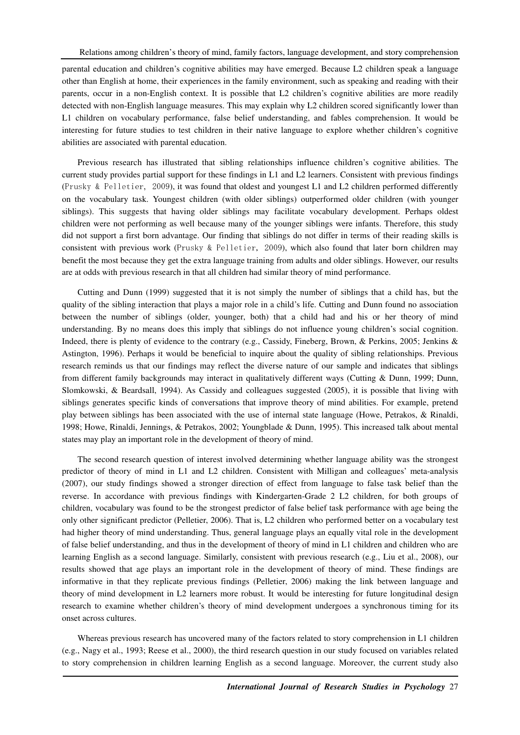parental education and children's cognitive abilities may have emerged. Because L2 children speak a language other than English at home, their experiences in the family environment, such as speaking and reading with their parents, occur in a non-English context. It is possible that L2 children's cognitive abilities are more readily detected with non-English language measures. This may explain why L2 children scored significantly lower than L1 children on vocabulary performance, false belief understanding, and fables comprehension. It would be interesting for future studies to test children in their native language to explore whether children's cognitive abilities are associated with parental education.

Previous research has illustrated that sibling relationships influence children's cognitive abilities. The current study provides partial support for these findings in L1 and L2 learners. Consistent with previous findings (Prusky & Pelletier, 2009), it was found that oldest and youngest L1 and L2 children performed differently on the vocabulary task. Youngest children (with older siblings) outperformed older children (with younger siblings). This suggests that having older siblings may facilitate vocabulary development. Perhaps oldest children were not performing as well because many of the younger siblings were infants. Therefore, this study did not support a first born advantage. Our finding that siblings do not differ in terms of their reading skills is consistent with previous work (Prusky & Pelletier, 2009), which also found that later born children may benefit the most because they get the extra language training from adults and older siblings. However, our results are at odds with previous research in that all children had similar theory of mind performance.

Cutting and Dunn (1999) suggested that it is not simply the number of siblings that a child has, but the quality of the sibling interaction that plays a major role in a child's life. Cutting and Dunn found no association between the number of siblings (older, younger, both) that a child had and his or her theory of mind understanding. By no means does this imply that siblings do not influence young children's social cognition. Indeed, there is plenty of evidence to the contrary (e.g., Cassidy, Fineberg, Brown, & Perkins, 2005; Jenkins & Astington, 1996). Perhaps it would be beneficial to inquire about the quality of sibling relationships. Previous research reminds us that our findings may reflect the diverse nature of our sample and indicates that siblings from different family backgrounds may interact in qualitatively different ways (Cutting & Dunn, 1999; Dunn, Slomkowski, & Beardsall, 1994). As Cassidy and colleagues suggested (2005), it is possible that living with siblings generates specific kinds of conversations that improve theory of mind abilities. For example, pretend play between siblings has been associated with the use of internal state language (Howe, Petrakos, & Rinaldi, 1998; Howe, Rinaldi, Jennings, & Petrakos, 2002; Youngblade & Dunn, 1995). This increased talk about mental states may play an important role in the development of theory of mind.

The second research question of interest involved determining whether language ability was the strongest predictor of theory of mind in L1 and L2 children. Consistent with Milligan and colleagues' meta-analysis (2007), our study findings showed a stronger direction of effect from language to false task belief than the reverse. In accordance with previous findings with Kindergarten-Grade 2 L2 children, for both groups of children, vocabulary was found to be the strongest predictor of false belief task performance with age being the only other significant predictor (Pelletier, 2006). That is, L2 children who performed better on a vocabulary test had higher theory of mind understanding. Thus, general language plays an equally vital role in the development of false belief understanding, and thus in the development of theory of mind in L1 children and children who are learning English as a second language. Similarly, consistent with previous research (e.g., Liu et al., 2008), our results showed that age plays an important role in the development of theory of mind. These findings are informative in that they replicate previous findings (Pelletier, 2006) making the link between language and theory of mind development in L2 learners more robust. It would be interesting for future longitudinal design research to examine whether children's theory of mind development undergoes a synchronous timing for its onset across cultures.

Whereas previous research has uncovered many of the factors related to story comprehension in L1 children (e.g., Nagy et al., 1993; Reese et al., 2000), the third research question in our study focused on variables related to story comprehension in children learning English as a second language. Moreover, the current study also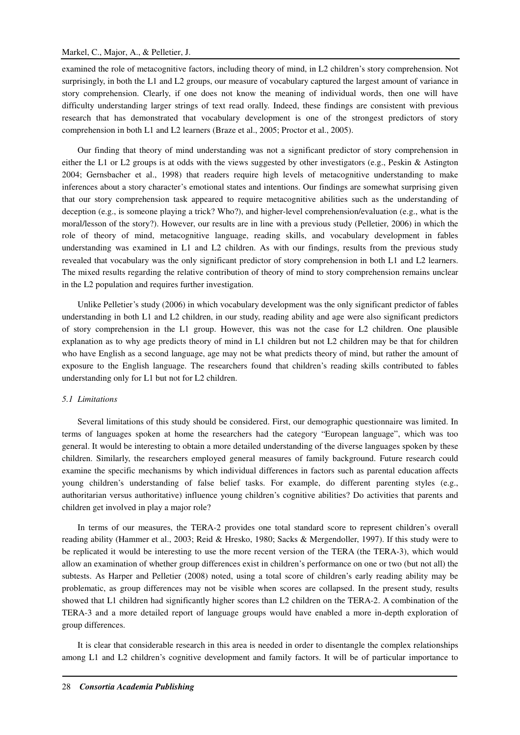#### Markel, C., Major, A., & Pelletier, J.

examined the role of metacognitive factors, including theory of mind, in L2 children's story comprehension. Not surprisingly, in both the L1 and L2 groups, our measure of vocabulary captured the largest amount of variance in story comprehension. Clearly, if one does not know the meaning of individual words, then one will have difficulty understanding larger strings of text read orally. Indeed, these findings are consistent with previous research that has demonstrated that vocabulary development is one of the strongest predictors of story comprehension in both L1 and L2 learners (Braze et al., 2005; Proctor et al., 2005).

Our finding that theory of mind understanding was not a significant predictor of story comprehension in either the L1 or L2 groups is at odds with the views suggested by other investigators (e.g., Peskin & Astington 2004; Gernsbacher et al., 1998) that readers require high levels of metacognitive understanding to make inferences about a story character's emotional states and intentions. Our findings are somewhat surprising given that our story comprehension task appeared to require metacognitive abilities such as the understanding of deception (e.g., is someone playing a trick? Who?), and higher-level comprehension/evaluation (e.g., what is the moral/lesson of the story?). However, our results are in line with a previous study (Pelletier, 2006) in which the role of theory of mind, metacognitive language, reading skills, and vocabulary development in fables understanding was examined in L1 and L2 children. As with our findings, results from the previous study revealed that vocabulary was the only significant predictor of story comprehension in both L1 and L2 learners. The mixed results regarding the relative contribution of theory of mind to story comprehension remains unclear in the L2 population and requires further investigation.

Unlike Pelletier's study (2006) in which vocabulary development was the only significant predictor of fables understanding in both L1 and L2 children, in our study, reading ability and age were also significant predictors of story comprehension in the L1 group. However, this was not the case for L2 children. One plausible explanation as to why age predicts theory of mind in L1 children but not L2 children may be that for children who have English as a second language, age may not be what predicts theory of mind, but rather the amount of exposure to the English language. The researchers found that children's reading skills contributed to fables understanding only for L1 but not for L2 children.

#### *5.1 Limitations*

Several limitations of this study should be considered. First, our demographic questionnaire was limited. In terms of languages spoken at home the researchers had the category "European language", which was too general. It would be interesting to obtain a more detailed understanding of the diverse languages spoken by these children. Similarly, the researchers employed general measures of family background. Future research could examine the specific mechanisms by which individual differences in factors such as parental education affects young children's understanding of false belief tasks. For example, do different parenting styles (e.g., authoritarian versus authoritative) influence young children's cognitive abilities? Do activities that parents and children get involved in play a major role?

In terms of our measures, the TERA-2 provides one total standard score to represent children's overall reading ability (Hammer et al., 2003; Reid & Hresko, 1980; Sacks & Mergendoller, 1997). If this study were to be replicated it would be interesting to use the more recent version of the TERA (the TERA-3), which would allow an examination of whether group differences exist in children's performance on one or two (but not all) the subtests. As Harper and Pelletier (2008) noted, using a total score of children's early reading ability may be problematic, as group differences may not be visible when scores are collapsed. In the present study, results showed that L1 children had significantly higher scores than L2 children on the TERA-2. A combination of the TERA-3 and a more detailed report of language groups would have enabled a more in-depth exploration of group differences.

It is clear that considerable research in this area is needed in order to disentangle the complex relationships among L1 and L2 children's cognitive development and family factors. It will be of particular importance to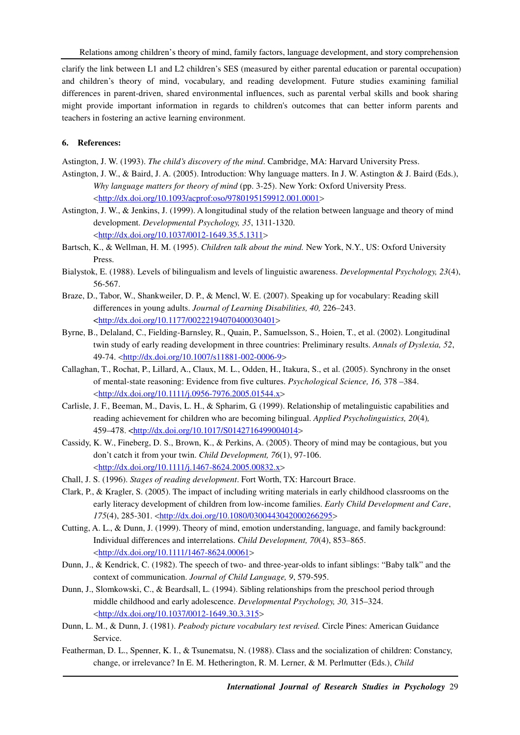clarify the link between L1 and L2 children's SES (measured by either parental education or parental occupation) and children's theory of mind, vocabulary, and reading development. Future studies examining familial differences in parent-driven, shared environmental influences, such as parental verbal skills and book sharing might provide important information in regards to children's outcomes that can better inform parents and teachers in fostering an active learning environment.

### **6. References:**

Astington, J. W. (1993). *The child's discovery of the mind*. Cambridge, MA: Harvard University Press.

- Astington, J. W., & Baird, J. A. (2005). Introduction: Why language matters. In J. W. Astington & J. Baird (Eds.), *Why language matters for theory of mind* (pp. 3-25). New York: Oxford University Press. <http://dx.doi.org/10.1093/acprof:oso/9780195159912.001.0001>
- Astington, J. W., & Jenkins, J. (1999). A longitudinal study of the relation between language and theory of mind development. *Developmental Psychology, 35*, 1311-1320. <http://dx.doi.org/10.1037/0012-1649.35.5.1311>
- Bartsch, K., & Wellman, H. M. (1995). *Children talk about the mind.* New York, N.Y., US: Oxford University Press.
- Bialystok, E. (1988). Levels of bilingualism and levels of linguistic awareness. *Developmental Psychology, 23*(4), 56-567.
- Braze, D., Tabor, W., Shankweiler, D. P., & Mencl, W. E. (2007). Speaking up for vocabulary: Reading skill differences in young adults. *Journal of Learning Disabilities, 40,* 226–243. <http://dx.doi.org/10.1177/00222194070400030401>
- Byrne, B., Delaland, C., Fielding-Barnsley, R., Quain, P., Samuelsson, S., Hoien, T., et al. (2002). Longitudinal twin study of early reading development in three countries: Preliminary results. *Annals of Dyslexia, 52*, 49-74. <http://dx.doi.org/10.1007/s11881-002-0006-9>
- Callaghan, T., Rochat, P., Lillard, A., Claux, M. L., Odden, H., Itakura, S., et al. (2005). Synchrony in the onset of mental-state reasoning: Evidence from five cultures. *Psychological Science, 16,* 378 –384. <http://dx.doi.org/10.1111/j.0956-7976.2005.01544.x>
- Carlisle, J. F., Beeman, M., Davis, L. H., & Spharim, G. (1999). Relationship of metalinguistic capabilities and reading achievement for children who are becoming bilingual. *Applied Psycholinguistics, 20*(4)*,*  459–478. <http://dx.doi.org/10.1017/S0142716499004014>
- Cassidy, K. W., Fineberg, D. S., Brown, K., & Perkins, A. (2005). Theory of mind may be contagious, but you don't catch it from your twin. *Child Development, 76*(1), 97-106. <http://dx.doi.org/10.1111/j.1467-8624.2005.00832.x>
- Chall, J. S. (1996). *Stages of reading development*. Fort Worth, TX: Harcourt Brace.
- Clark, P., & Kragler, S. (2005). The impact of including writing materials in early childhood classrooms on the early literacy development of children from low-income families. *Early Child Development and Care*, *175*(4), 285-301. <http://dx.doi.org/10.1080/0300443042000266295>
- Cutting, A. L., & Dunn, J. (1999). Theory of mind, emotion understanding, language, and family background: Individual differences and interrelations. *Child Development, 70*(4), 853–865. <http://dx.doi.org/10.1111/1467-8624.00061>
- Dunn, J., & Kendrick, C. (1982). The speech of two- and three-year-olds to infant siblings: "Baby talk" and the context of communication. *Journal of Child Language, 9*, 579-595.
- Dunn, J., Slomkowski, C., & Beardsall, L. (1994). Sibling relationships from the preschool period through middle childhood and early adolescence. *Developmental Psychology, 30,* 315–324. <http://dx.doi.org/10.1037/0012-1649.30.3.315>
- Dunn, L. M., & Dunn, J. (1981). *Peabody picture vocabulary test revised.* Circle Pines: American Guidance Service.
- Featherman, D. L., Spenner, K. I., & Tsunematsu, N. (1988). Class and the socialization of children: Constancy, change, or irrelevance? In E. M. Hetherington, R. M. Lerner, & M. Perlmutter (Eds.), *Child*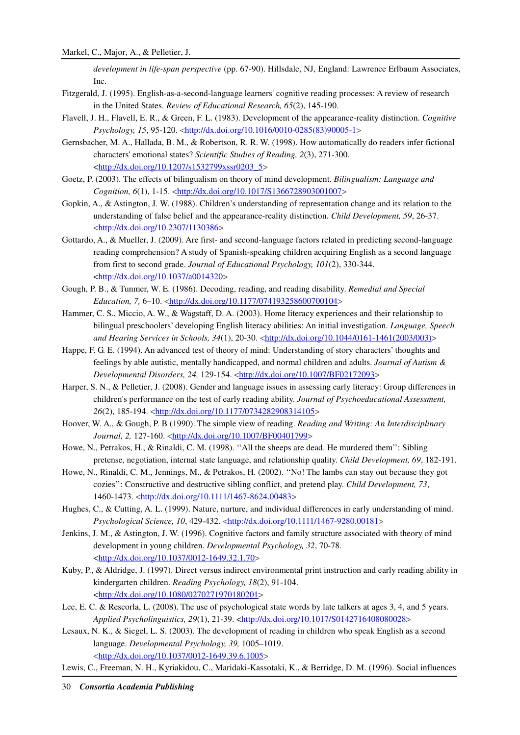*development in life-span perspective* (pp. 67-90). Hillsdale, NJ, England: Lawrence Erlbaum Associates, Inc.

- Fitzgerald, J. (1995). English-as-a-second-language learners' cognitive reading processes: A review of research in the United States. *Review of Educational Research, 65*(2), 145-190.
- Flavell, J. H., Flavell, E. R., & Green, F. L. (1983). Development of the appearance-reality distinction. *Cognitive Psychology, 15*, 95-120. <http://dx.doi.org/10.1016/0010-0285(83)90005-1>
- Gernsbacher, M. A., Hallada, B. M., & Robertson, R. R. W. (1998). How automatically do readers infer fictional characters' emotional states? *Scientific Studies of Reading, 2*(3), 271-300. <http://dx.doi.org/10.1207/s1532799xssr0203\_5>
- Goetz, P. (2003). The effects of bilingualism on theory of mind development. *Bilingualism: Language and Cognition, 6*(1), 1-15. <http://dx.doi.org/10.1017/S1366728903001007>
- Gopkin, A., & Astington, J. W. (1988). Children's understanding of representation change and its relation to the understanding of false belief and the appearance-reality distinction. *Child Development, 59*, 26-37. <http://dx.doi.org/10.2307/1130386>
- Gottardo, A., & Mueller, J. (2009). Are first- and second-language factors related in predicting second-language reading comprehension? A study of Spanish-speaking children acquiring English as a second language from first to second grade. *Journal of Educational Psychology, 101*(2), 330-344. <http://dx.doi.org/10.1037/a0014320>
- Gough, P. B., & Tunmer, W. E. (1986). Decoding, reading, and reading disability. *Remedial and Special Education, 7, 6*–10. <*http://dx.doi.org/10.1177/074193258600700104>*
- Hammer, C. S., Miccio, A. W., & Wagstaff, D. A. (2003). Home literacy experiences and their relationship to bilingual preschoolers' developing English literacy abilities: An initial investigation. *Language, Speech and Hearing Services in Schools, 34*(1), 20-30. <http://dx.doi.org/10.1044/0161-1461(2003/003)>
- Happe, F. G. E. (1994). An advanced test of theory of mind: Understanding of story characters' thoughts and feelings by able autistic, mentally handicapped, and normal children and adults. *Journal of Autism & Developmental Disorders, 24,* 129-154. <http://dx.doi.org/10.1007/BF02172093>
- Harper, S. N., & Pelletier, J. (2008). Gender and language issues in assessing early literacy: Group differences in children's performance on the test of early reading ability. *Journal of Psychoeducational Assessment, 26*(2), 185-194. <http://dx.doi.org/10.1177/0734282908314105>
- Hoover, W. A., & Gough, P. B (1990). The simple view of reading. *Reading and Writing: An Interdisciplinary*  Journal, 2, 127-160. <**http://dx.doi.org/10.1007/BF00401799>**
- Howe, N., Petrakos, H., & Rinaldi, C. M. (1998). ''All the sheeps are dead. He murdered them'': Sibling pretense, negotiation, internal state language, and relationship quality. *Child Development, 69*, 182-191.
- Howe, N., Rinaldi, C. M., Jennings, M., & Petrakos, H. (2002). ''No! The lambs can stay out because they got cozies'': Constructive and destructive sibling conflict, and pretend play. *Child Development, 73*, 1460-1473. <http://dx.doi.org/10.1111/1467-8624.00483>
- Hughes, C., & Cutting, A. L. (1999). Nature, nurture, and individual differences in early understanding of mind. *Psychological Science, 10*, 429-432. <http://dx.doi.org/10.1111/1467-9280.00181>
- Jenkins, J. M., & Astington, J. W. (1996). Cognitive factors and family structure associated with theory of mind development in young children. *Developmental Psychology, 32*, 70-78. <http://dx.doi.org/10.1037/0012-1649.32.1.70>
- Kuby, P., & Aldridge, J. (1997). Direct versus indirect environmental print instruction and early reading ability in kindergarten children. *Reading Psychology, 18*(2), 91-104. <http://dx.doi.org/10.1080/0270271970180201>
- Lee, E. C. & Rescorla, L. (2008). The use of psychological state words by late talkers at ages 3, 4, and 5 years. *Applied Psycholinguistics, 29*(1), 21-39. <http://dx.doi.org/10.1017/S0142716408080028>
- Lesaux, N. K., & Siegel, L. S. (2003). The development of reading in children who speak English as a second language. *Developmental Psychology, 39,* 1005–1019. <http://dx.doi.org/10.1037/0012-1649.39.6.1005>
- Lewis, C., Freeman, N. H., Kyriakidou, C., Maridaki-Kassotaki, K., & Berridge, D. M. (1996). Social influences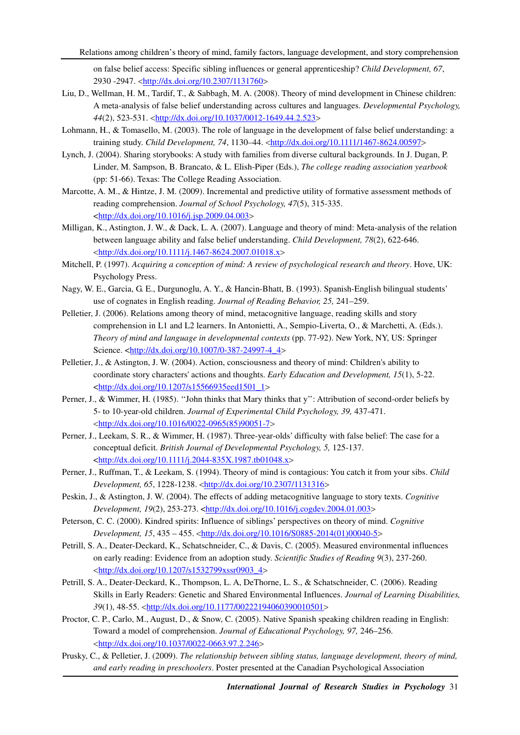on false belief access: Specific sibling influences or general apprenticeship? *Child Development, 67*, 2930 -2947. <http://dx.doi.org/10.2307/1131760>

- Liu, D., Wellman, H. M., Tardif, T., & Sabbagh, M. A. (2008). Theory of mind development in Chinese children: A meta-analysis of false belief understanding across cultures and languages. *Developmental Psychology, 44*(2), 523-531. <http://dx.doi.org/10.1037/0012-1649.44.2.523>
- Lohmann, H., & Tomasello, M. (2003). The role of language in the development of false belief understanding: a training study. *Child Development, 74*, 1130–44. <http://dx.doi.org/10.1111/1467-8624.00597>
- Lynch, J. (2004). Sharing storybooks: A study with families from diverse cultural backgrounds. In J. Dugan, P. Linder, M. Sampson, B. Brancato, & L. Elish-Piper (Eds.), *The college reading association yearbook* (pp: 51-66). Texas: The College Reading Association.
- Marcotte, A. M., & Hintze, J. M. (2009). Incremental and predictive utility of formative assessment methods of reading comprehension. *Journal of School Psychology, 47*(5), 315-335. <http://dx.doi.org/10.1016/j.jsp.2009.04.003>
- Milligan, K., Astington, J. W., & Dack, L. A. (2007). Language and theory of mind: Meta-analysis of the relation between language ability and false belief understanding. *Child Development, 78*(2), 622-646. <http://dx.doi.org/10.1111/j.1467-8624.2007.01018.x>
- Mitchell, P. (1997). *Acquiring a conception of mind: A review of psychological research and theory*. Hove, UK: Psychology Press.
- Nagy, W. E., Garcia, G. E., Durgunoglu, A. Y., & Hancin-Bhatt, B. (1993). Spanish-English bilingual students' use of cognates in English reading. *Journal of Reading Behavior, 25,* 241–259.
- Pelletier, J. (2006). Relations among theory of mind, metacognitive language, reading skills and story comprehension in L1 and L2 learners. In Antonietti, A., Sempio-Liverta, O., & Marchetti, A. (Eds.). *Theory of mind and language in developmental contexts* (pp. 77-92). New York, NY, US: Springer Science. <http://dx.doi.org/10.1007/0-387-24997-4\_4>
- Pelletier, J., & Astington, J. W. (2004). Action, consciousness and theory of mind: Children's ability to coordinate story characters' actions and thoughts. *Early Education and Development, 15*(1), 5-22. <http://dx.doi.org/10.1207/s15566935eed1501\_1>
- Perner, J., & Wimmer, H. (1985). ''John thinks that Mary thinks that y'': Attribution of second-order beliefs by 5- to 10-year-old children. *Journal of Experimental Child Psychology, 39,* 437-471. <http://dx.doi.org/10.1016/0022-0965(85)90051-7>
- Perner, J., Leekam, S. R., & Wimmer, H. (1987). Three-year-olds' difficulty with false belief: The case for a conceptual deficit. *British Journal of Developmental Psychology, 5,* 125-137. <http://dx.doi.org/10.1111/j.2044-835X.1987.tb01048.x>
- Perner, J., Ruffman, T., & Leekam, S. (1994). Theory of mind is contagious: You catch it from your sibs. *Child Development, 65, 1228-1238.* <http://dx.doi.org/10.2307/1131316>
- Peskin, J., & Astington, J. W. (2004). The effects of adding metacognitive language to story texts. *Cognitive Development, 19*(2), 253-273. <http://dx.doi.org/10.1016/j.cogdev.2004.01.003>
- Peterson, C. C. (2000). Kindred spirits: Influence of siblings' perspectives on theory of mind. *Cognitive Development, 15*, 435 – 455. <http://dx.doi.org/10.1016/S0885-2014(01)00040-5>
- Petrill, S. A., Deater-Deckard, K., Schatschneider, C., & Davis, C. (2005). Measured environmental influences on early reading: Evidence from an adoption study. *Scientific Studies of Reading 9*(3), 237-260. <http://dx.doi.org/10.1207/s1532799xssr0903\_4>
- Petrill, S. A., Deater-Deckard, K., Thompson, L. A, DeThorne, L. S., & Schatschneider, C. (2006). Reading Skills in Early Readers: Genetic and Shared Environmental Influences. *Journal of Learning Disabilities, 39*(1), 48-55. <http://dx.doi.org/10.1177/00222194060390010501>
- Proctor, C. P., Carlo, M., August, D., & Snow, C. (2005). Native Spanish speaking children reading in English: Toward a model of comprehension. *Journal of Educational Psychology, 97,* 246–256. <http://dx.doi.org/10.1037/0022-0663.97.2.246>
- Prusky, C., & Pelletier, J. (2009). *The relationship between sibling status, language development, theory of mind, and early reading in preschoolers*. Poster presented at the Canadian Psychological Association